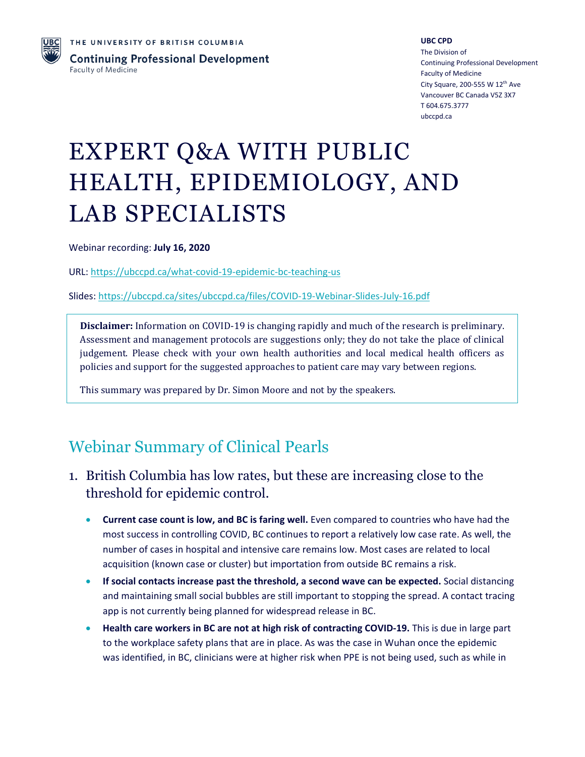

**UBC CPD** The Division of Continuing Professional Development Faculty of Medicine City Square, 200-555 W 12th Ave Vancouver BC Canada V5Z 3X7 T 604.675.3777 ubccpd.ca

# EXPERT Q&A WITH PUBLIC HEALTH, EPIDEMIOLOGY, AND LAB SPECIALISTS

Webinar recording: **July 16, 2020**

URL: <https://ubccpd.ca/what-covid-19-epidemic-bc-teaching-us>

Slides: <https://ubccpd.ca/sites/ubccpd.ca/files/COVID-19-Webinar-Slides-July-16.pdf>

**Disclaimer:** Information on COVID-19 is changing rapidly and much of the research is preliminary. Assessment and management protocols are suggestions only; they do not take the place of clinical judgement. Please check with your own health authorities and local medical health officers as policies and support for the suggested approaches to patient care may vary between regions.

This summary was prepared by Dr. Simon Moore and not by the speakers.

# Webinar Summary of Clinical Pearls

- 1. British Columbia has low rates, but these are increasing close to the threshold for epidemic control.
	- **Current case count is low, and BC is faring well.** Even compared to countries who have had the most success in controlling COVID, BC continues to report a relatively low case rate. As well, the number of cases in hospital and intensive care remains low. Most cases are related to local acquisition (known case or cluster) but importation from outside BC remains a risk.
	- **If social contacts increase past the threshold, a second wave can be expected.** Social distancing and maintaining small social bubbles are still important to stopping the spread. A contact tracing app is not currently being planned for widespread release in BC.
	- **Health care workers in BC are not at high risk of contracting COVID-19.** This is due in large part to the workplace safety plans that are in place. As was the case in Wuhan once the epidemic was identified, in BC, clinicians were at higher risk when PPE is not being used, such as while in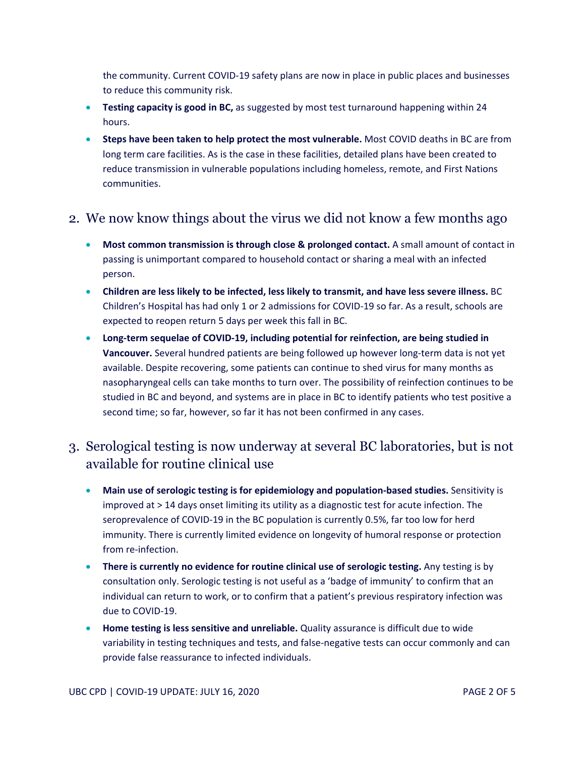the community. Current COVID-19 safety plans are now in place in public places and businesses to reduce this community risk.

- **Testing capacity is good in BC,** as suggested by most test turnaround happening within 24 hours.
- **Steps have been taken to help protect the most vulnerable.** Most COVID deaths in BC are from long term care facilities. As is the case in these facilities, detailed plans have been created to reduce transmission in vulnerable populations including homeless, remote, and First Nations communities.

#### 2. We now know things about the virus we did not know a few months ago

- **Most common transmission is through close & prolonged contact.** A small amount of contact in passing is unimportant compared to household contact or sharing a meal with an infected person.
- **Children are less likely to be infected, less likely to transmit, and have less severe illness.** BC Children's Hospital has had only 1 or 2 admissions for COVID-19 so far. As a result, schools are expected to reopen return 5 days per week this fall in BC.
- **Long-term sequelae of COVID-19, including potential for reinfection, are being studied in Vancouver.** Several hundred patients are being followed up however long-term data is not yet available. Despite recovering, some patients can continue to shed virus for many months as nasopharyngeal cells can take months to turn over. The possibility of reinfection continues to be studied in BC and beyond, and systems are in place in BC to identify patients who test positive a second time; so far, however, so far it has not been confirmed in any cases.

### 3. Serological testing is now underway at several BC laboratories, but is not available for routine clinical use

- **Main use of serologic testing is for epidemiology and population-based studies.** Sensitivity is improved at > 14 days onset limiting its utility as a diagnostic test for acute infection. The seroprevalence of COVID-19 in the BC population is currently 0.5%, far too low for herd immunity. There is currently limited evidence on longevity of humoral response or protection from re-infection.
- **There is currently no evidence for routine clinical use of serologic testing.** Any testing is by consultation only. Serologic testing is not useful as a 'badge of immunity' to confirm that an individual can return to work, or to confirm that a patient's previous respiratory infection was due to COVID-19.
- **Home testing is less sensitive and unreliable.** Quality assurance is difficult due to wide variability in testing techniques and tests, and false-negative tests can occur commonly and can provide false reassurance to infected individuals.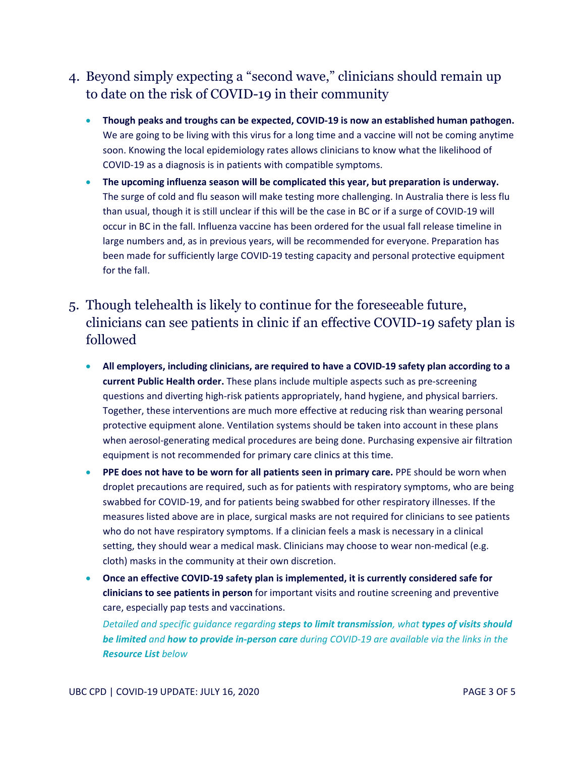### 4. Beyond simply expecting a "second wave," clinicians should remain up to date on the risk of COVID-19 in their community

- **Though peaks and troughs can be expected, COVID-19 is now an established human pathogen.** We are going to be living with this virus for a long time and a vaccine will not be coming anytime soon. Knowing the local epidemiology rates allows clinicians to know what the likelihood of COVID-19 as a diagnosis is in patients with compatible symptoms.
- **The upcoming influenza season will be complicated this year, but preparation is underway.** The surge of cold and flu season will make testing more challenging. In Australia there is less flu than usual, though it is still unclear if this will be the case in BC or if a surge of COVID-19 will occur in BC in the fall. Influenza vaccine has been ordered for the usual fall release timeline in large numbers and, as in previous years, will be recommended for everyone. Preparation has been made for sufficiently large COVID-19 testing capacity and personal protective equipment for the fall.

## 5. Though telehealth is likely to continue for the foreseeable future, clinicians can see patients in clinic if an effective COVID-19 safety plan is followed

- **All employers, including clinicians, are required to have a COVID-19 safety plan according to a current Public Health order.** These plans include multiple aspects such as pre-screening questions and diverting high-risk patients appropriately, hand hygiene, and physical barriers. Together, these interventions are much more effective at reducing risk than wearing personal protective equipment alone. Ventilation systems should be taken into account in these plans when aerosol-generating medical procedures are being done. Purchasing expensive air filtration equipment is not recommended for primary care clinics at this time.
- **PPE does not have to be worn for all patients seen in primary care.** PPE should be worn when droplet precautions are required, such as for patients with respiratory symptoms, who are being swabbed for COVID-19, and for patients being swabbed for other respiratory illnesses. If the measures listed above are in place, surgical masks are not required for clinicians to see patients who do not have respiratory symptoms. If a clinician feels a mask is necessary in a clinical setting, they should wear a medical mask. Clinicians may choose to wear non-medical (e.g. cloth) masks in the community at their own discretion.
- **Once an effective COVID-19 safety plan is implemented, it is currently considered safe for clinicians to see patients in person** for important visits and routine screening and preventive care, especially pap tests and vaccinations.

*Detailed and specific guidance regarding steps to limit transmission, what types of visits should be limited and how to provide in-person care during COVID-19 are available via the links in the Resource List below*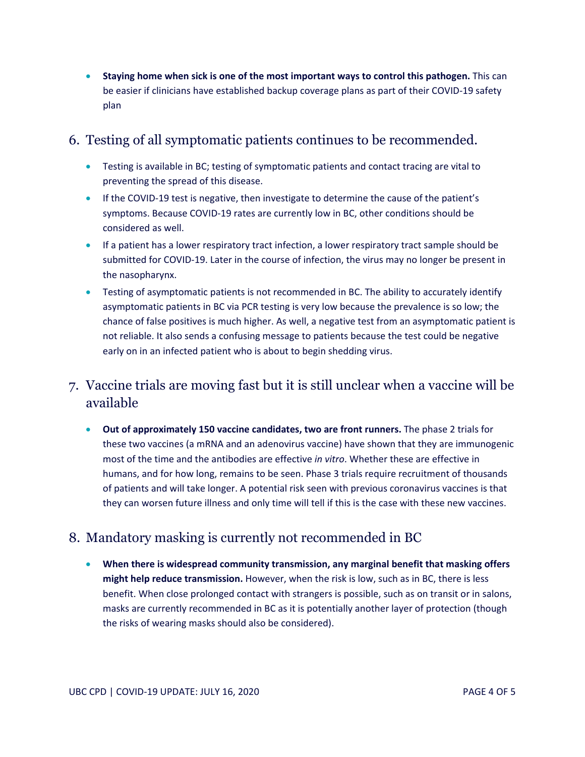• **Staying home when sick is one of the most important ways to control this pathogen.** This can be easier if clinicians have established backup coverage plans as part of their COVID-19 safety plan

#### 6. Testing of all symptomatic patients continues to be recommended.

- Testing is available in BC; testing of symptomatic patients and contact tracing are vital to preventing the spread of this disease.
- If the COVID-19 test is negative, then investigate to determine the cause of the patient's symptoms. Because COVID-19 rates are currently low in BC, other conditions should be considered as well.
- If a patient has a lower respiratory tract infection, a lower respiratory tract sample should be submitted for COVID-19. Later in the course of infection, the virus may no longer be present in the nasopharynx.
- Testing of asymptomatic patients is not recommended in BC. The ability to accurately identify asymptomatic patients in BC via PCR testing is very low because the prevalence is so low; the chance of false positives is much higher. As well, a negative test from an asymptomatic patient is not reliable. It also sends a confusing message to patients because the test could be negative early on in an infected patient who is about to begin shedding virus.

### 7. Vaccine trials are moving fast but it is still unclear when a vaccine will be available

• **Out of approximately 150 vaccine candidates, two are front runners.** The phase 2 trials for these two vaccines (a mRNA and an adenovirus vaccine) have shown that they are immunogenic most of the time and the antibodies are effective *in vitro*. Whether these are effective in humans, and for how long, remains to be seen. Phase 3 trials require recruitment of thousands of patients and will take longer. A potential risk seen with previous coronavirus vaccines is that they can worsen future illness and only time will tell if this is the case with these new vaccines.

### 8. Mandatory masking is currently not recommended in BC

• **When there is widespread community transmission, any marginal benefit that masking offers might help reduce transmission.** However, when the risk is low, such as in BC, there is less benefit. When close prolonged contact with strangers is possible, such as on transit or in salons, masks are currently recommended in BC as it is potentially another layer of protection (though the risks of wearing masks should also be considered).